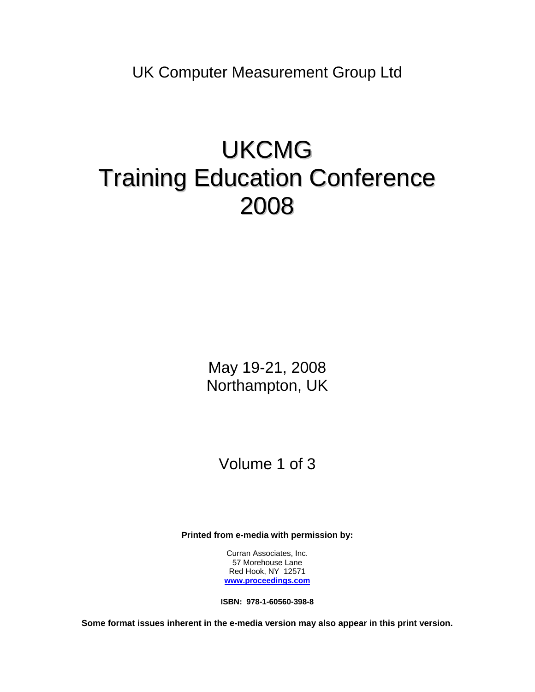UK Computer Measurement Group Ltd

# UKCMG Training Education Conference 2008

May 19-21, 2008 Northampton, UK

## Volume 1 of 3

**Printed from e-media with permission by:** 

Curran Associates, Inc. 57 Morehouse Lane Red Hook, NY 12571 **[www.proceedings.com](http://www.proceedings.com/)**

**ISBN: 978-1-60560-398-8** 

**Some format issues inherent in the e-media version may also appear in this print version.**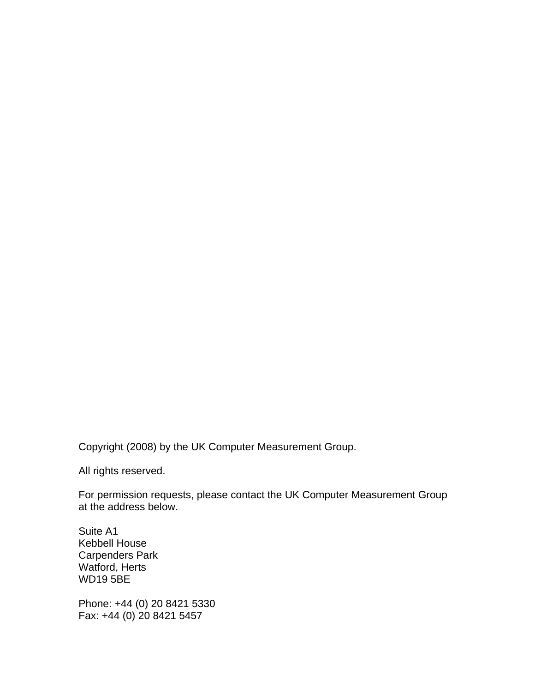Copyright (2008) by the UK Computer Measurement Group.

All rights reserved.

For permission requests, please contact the UK Computer Measurement Group at the address below.

Suite A1 Kebbell House Carpenders Park Watford, Herts WD19 5BE

Phone: +44 (0) 20 8421 5330 Fax: +44 (0) 20 8421 5457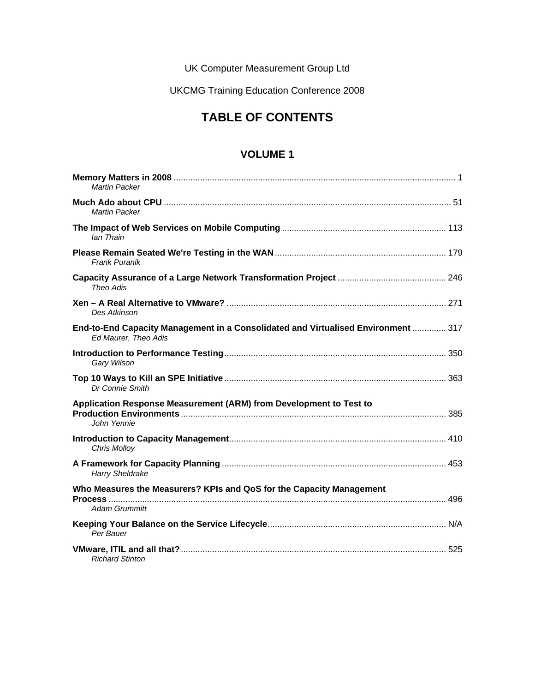UK Computer Measurement Group Ltd

UKCMG Training Education Conference 2008

## **TABLE OF CONTENTS**

#### **VOLUME 1**

| <b>Martin Packer</b>                                                                                      |  |
|-----------------------------------------------------------------------------------------------------------|--|
| Martin Packer                                                                                             |  |
| lan Thain                                                                                                 |  |
| <b>Frank Puranik</b>                                                                                      |  |
| Theo Adis                                                                                                 |  |
| Des Atkinson                                                                                              |  |
| End-to-End Capacity Management in a Consolidated and Virtualised Environment  317<br>Ed Maurer, Theo Adis |  |
| Gary Wilson                                                                                               |  |
| Dr Connie Smith                                                                                           |  |
| Application Response Measurement (ARM) from Development to Test to<br>John Yennie                         |  |
| <b>Chris Molloy</b>                                                                                       |  |
| <b>Harry Sheldrake</b>                                                                                    |  |
| Who Measures the Measurers? KPIs and QoS for the Capacity Management<br>Adam Grummitt                     |  |
| Per Bauer                                                                                                 |  |
| <b>Richard Stinton</b>                                                                                    |  |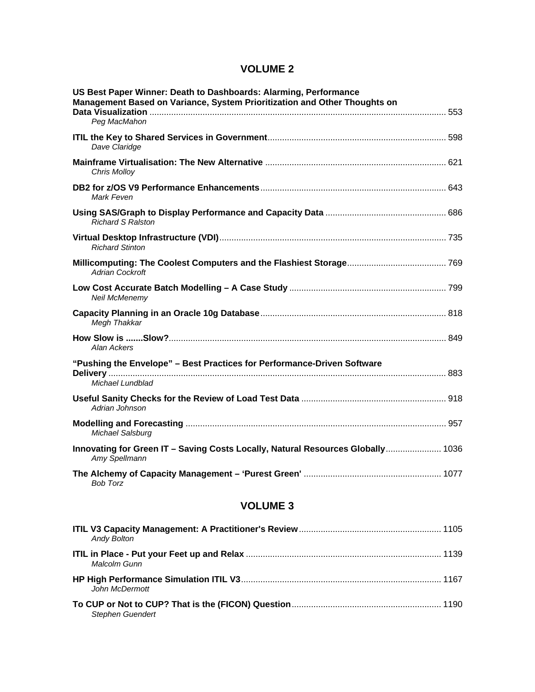### **VOLUME 2**

| US Best Paper Winner: Death to Dashboards: Alarming, Performance<br>Management Based on Variance, System Prioritization and Other Thoughts on |  |
|-----------------------------------------------------------------------------------------------------------------------------------------------|--|
| Peg MacMahon                                                                                                                                  |  |
| Dave Claridge                                                                                                                                 |  |
| <b>Chris Molloy</b>                                                                                                                           |  |
| Mark Feven                                                                                                                                    |  |
| <b>Richard S Ralston</b>                                                                                                                      |  |
| <b>Richard Stinton</b>                                                                                                                        |  |
| <b>Adrian Cockroft</b>                                                                                                                        |  |
| Neil McMenemy                                                                                                                                 |  |
| Megh Thakkar                                                                                                                                  |  |
| Alan Ackers                                                                                                                                   |  |
| "Pushing the Envelope" - Best Practices for Performance-Driven Software                                                                       |  |
| Michael Lundblad                                                                                                                              |  |
| Adrian Johnson                                                                                                                                |  |
| Michael Salsburg                                                                                                                              |  |
| Innovating for Green IT - Saving Costs Locally, Natural Resources Globally 1036<br>Amy Spellmann                                              |  |
| <b>Bob Torz</b>                                                                                                                               |  |
| <b>VOLUME 3</b>                                                                                                                               |  |
| <b>Andy Bolton</b>                                                                                                                            |  |
| Malcolm Gunn                                                                                                                                  |  |
|                                                                                                                                               |  |

| Stephen Guendert |  |
|------------------|--|

*John McDermott*